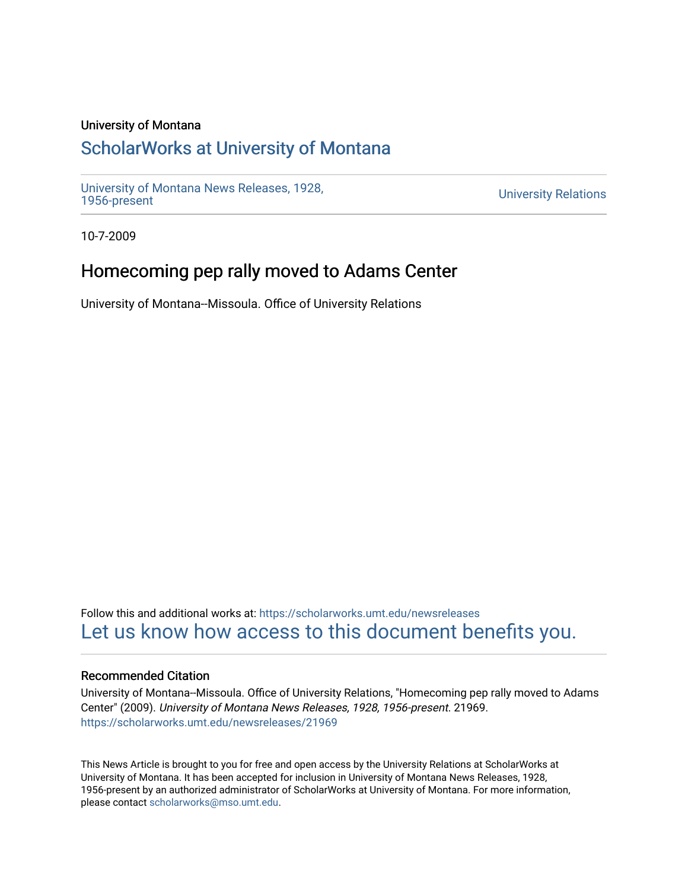### University of Montana

# [ScholarWorks at University of Montana](https://scholarworks.umt.edu/)

[University of Montana News Releases, 1928,](https://scholarworks.umt.edu/newsreleases) 

**University Relations** 

10-7-2009

# Homecoming pep rally moved to Adams Center

University of Montana--Missoula. Office of University Relations

Follow this and additional works at: [https://scholarworks.umt.edu/newsreleases](https://scholarworks.umt.edu/newsreleases?utm_source=scholarworks.umt.edu%2Fnewsreleases%2F21969&utm_medium=PDF&utm_campaign=PDFCoverPages) [Let us know how access to this document benefits you.](https://goo.gl/forms/s2rGfXOLzz71qgsB2) 

### Recommended Citation

University of Montana--Missoula. Office of University Relations, "Homecoming pep rally moved to Adams Center" (2009). University of Montana News Releases, 1928, 1956-present. 21969. [https://scholarworks.umt.edu/newsreleases/21969](https://scholarworks.umt.edu/newsreleases/21969?utm_source=scholarworks.umt.edu%2Fnewsreleases%2F21969&utm_medium=PDF&utm_campaign=PDFCoverPages) 

This News Article is brought to you for free and open access by the University Relations at ScholarWorks at University of Montana. It has been accepted for inclusion in University of Montana News Releases, 1928, 1956-present by an authorized administrator of ScholarWorks at University of Montana. For more information, please contact [scholarworks@mso.umt.edu.](mailto:scholarworks@mso.umt.edu)